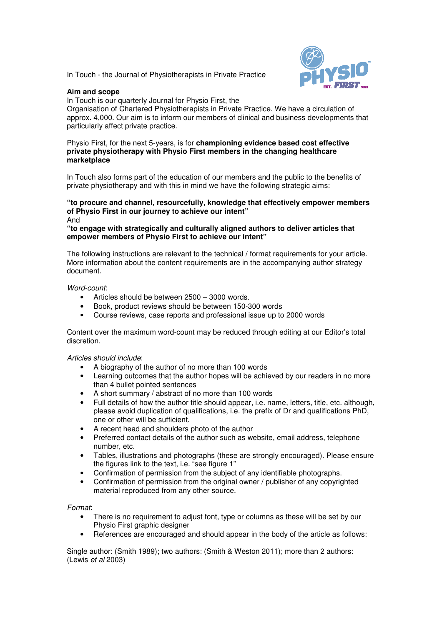In Touch - the Journal of Physiotherapists in Private Practice

## **Aim and scope**



In Touch is our quarterly Journal for Physio First, the Organisation of Chartered Physiotherapists in Private Practice. We have a circulation of approx. 4,000. Our aim is to inform our members of clinical and business developments that particularly affect private practice.

#### Physio First, for the next 5-years, is for **championing evidence based cost effective private physiotherapy with Physio First members in the changing healthcare marketplace**

In Touch also forms part of the education of our members and the public to the benefits of private physiotherapy and with this in mind we have the following strategic aims:

#### **"to procure and channel, resourcefully, knowledge that effectively empower members of Physio First in our journey to achieve our intent"**  And

## **"to engage with strategically and culturally aligned authors to deliver articles that empower members of Physio First to achieve our intent"**

The following instructions are relevant to the technical / format requirements for your article. More information about the content requirements are in the accompanying author strategy document.

#### Word-count:

- Articles should be between 2500 3000 words.
- Book, product reviews should be between 150-300 words
- Course reviews, case reports and professional issue up to 2000 words

Content over the maximum word-count may be reduced through editing at our Editor's total discretion.

# Articles should include:

- A biography of the author of no more than 100 words
- Learning outcomes that the author hopes will be achieved by our readers in no more than 4 bullet pointed sentences
- A short summary / abstract of no more than 100 words
- Full details of how the author title should appear, i.e. name, letters, title, etc. although, please avoid duplication of qualifications, i.e. the prefix of Dr and qualifications PhD, one or other will be sufficient.
- A recent head and shoulders photo of the author
- Preferred contact details of the author such as website, email address, telephone number, etc.
- Tables, illustrations and photographs (these are strongly encouraged). Please ensure the figures link to the text, i.e. "see figure 1"
- Confirmation of permission from the subject of any identifiable photographs.
- Confirmation of permission from the original owner / publisher of any copyrighted material reproduced from any other source.

# Format:

- There is no requirement to adjust font, type or columns as these will be set by our Physio First graphic designer
- References are encouraged and should appear in the body of the article as follows:

Single author: (Smith 1989); two authors: (Smith & Weston 2011); more than 2 authors: (Lewis et al 2003)